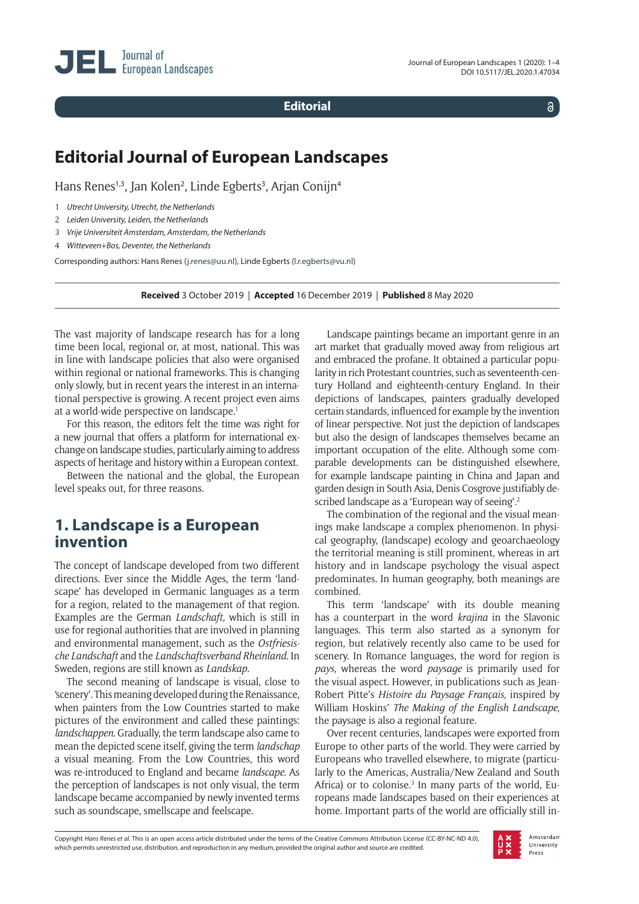**Editorial**

 $\delta$ 

# **Editorial Journal of European Landscapes**

Hans Renes<sup>1,3</sup>, Jan Kolen<sup>2</sup>, Linde Egberts<sup>3</sup>, Arjan Conijn<sup>4</sup>

- 1 *Utrecht University, Utrecht, the Netherlands*
- 2 *Leiden University, Leiden, the Netherlands*
- 3 *Vrije Universiteit Amsterdam, Amsterdam, the Netherlands*
- 4 *Witteveen+Bos, Deventer, the Netherlands*

Corresponding authors: Hans Renes ([j.renes@uu.nl\)](mailto:j.renes@uu.nl), Linde Egberts [\(l.r.egberts@vu.nl](mailto:l.r.egberts@vu.nl))

**Received** 3 October 2019 | **Accepted** 16 December 2019 | **Published** 8 May 2020

The vast majority of landscape research has for a long time been local, regional or, at most, national. This was in line with landscape policies that also were organised within regional or national frameworks. This is changing only slowly, but in recent years the interest in an international perspective is growing. A recent project even aims at a world-wide perspective on landscape.1

For this reason, the editors felt the time was right for a new journal that offers a platform for international exchange on landscape studies, particularly aiming to address aspects of heritage and history within a European context.

Between the national and the global, the European level speaks out, for three reasons.

### **1. Landscape is a European invention**

The concept of landscape developed from two different directions. Ever since the Middle Ages, the term 'landscape' has developed in Germanic languages as a term for a region, related to the management of that region. Examples are the German *Landschaft*, which is still in use for regional authorities that are involved in planning and environmental management, such as the *Ostfriesische Landschaft* and the *Landschaftsverband Rheinland*. In Sweden, regions are still known as *Landskap*.

The second meaning of landscape is visual, close to 'scenery'. This meaning developed during the Renaissance, when painters from the Low Countries started to make pictures of the environment and called these paintings: *landschappen*. Gradually, the term landscape also came to mean the depicted scene itself, giving the term *landschap* a visual meaning. From the Low Countries, this word was re-introduced to England and became *landscape*. As the perception of landscapes is not only visual, the term landscape became accompanied by newly invented terms such as soundscape, smellscape and feelscape.

Landscape paintings became an important genre in an art market that gradually moved away from religious art and embraced the profane. It obtained a particular popularity in rich Protestant countries, such as seventeenth-century Holland and eighteenth-century England. In their depictions of landscapes, painters gradually developed certain standards, influenced for example by the invention of linear perspective. Not just the depiction of landscapes but also the design of landscapes themselves became an important occupation of the elite. Although some comparable developments can be distinguished elsewhere, for example landscape painting in China and Japan and garden design in South Asia, Denis Cosgrove justifiably described landscape as a 'European way of seeing'.<sup>2</sup>

The combination of the regional and the visual meanings make landscape a complex phenomenon. In physical geography, (landscape) ecology and geoarchaeology the territorial meaning is still prominent, whereas in art history and in landscape psychology the visual aspect predominates. In human geography, both meanings are combined.

This term 'landscape' with its double meaning has a counterpart in the word *krajina* in the Slavonic languages. This term also started as a synonym for region, but relatively recently also came to be used for scenery. In Romance languages, the word for region is *pays*, whereas the word *paysage* is primarily used for the visual aspect. However, in publications such as Jean-Robert Pitte's *Histoire du Paysage Français*, inspired by William Hoskins' *The Making of the English Landscape*, the paysage is also a regional feature.

Over recent centuries, landscapes were exported from Europe to other parts of the world. They were carried by Europeans who travelled elsewhere, to migrate (particularly to the Americas, Australia/New Zealand and South Africa) or to colonise.<sup>3</sup> In many parts of the world, Europeans made landscapes based on their experiences at home. Important parts of the world are officially still in-

Copyright *Hans Renes et al.* This is an open access article distributed under the terms of the Creative Commons Attribution License (CC-BY-NC-ND 4.0), which permits unrestricted use, distribution, and reproduction in any medium, provided the original author and source are credited.

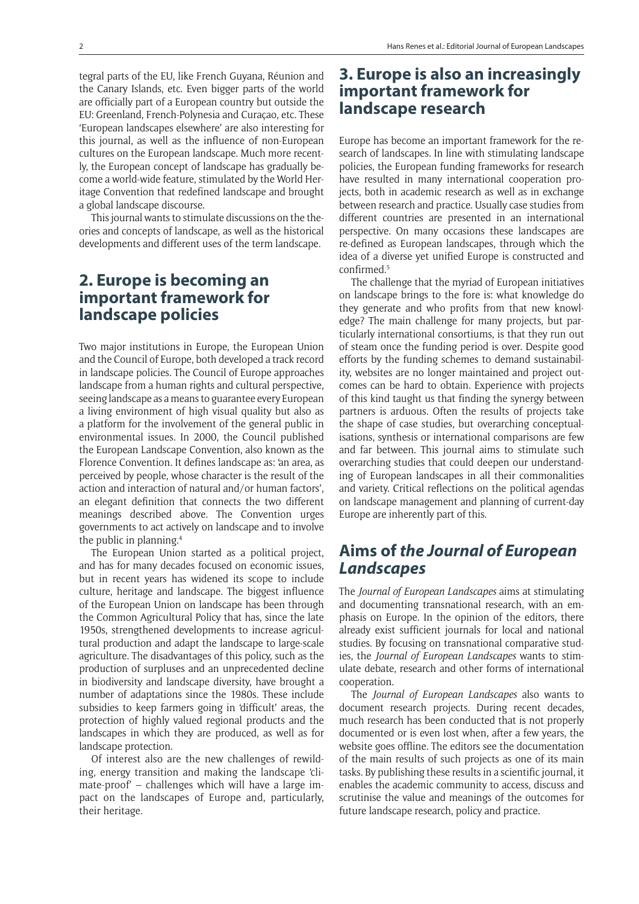tegral parts of the EU, like French Guyana, Réunion and the Canary Islands, etc. Even bigger parts of the world are officially part of a European country but outside the EU: Greenland, French-Polynesia and Curaçao, etc. These 'European landscapes elsewhere' are also interesting for this journal, as well as the influence of non-European cultures on the European landscape. Much more recently, the European concept of landscape has gradually become a world-wide feature, stimulated by the World Heritage Convention that redefined landscape and brought a global landscape discourse.

This journal wants to stimulate discussions on the theories and concepts of landscape, as well as the historical developments and different uses of the term landscape.

### **2. Europe is becoming an important framework for landscape policies**

Two major institutions in Europe, the European Union and the Council of Europe, both developed a track record in landscape policies. The Council of Europe approaches landscape from a human rights and cultural perspective, seeing landscape as a means to guarantee every European a living environment of high visual quality but also as a platform for the involvement of the general public in environmental issues. In 2000, the Council published the European Landscape Convention, also known as the Florence Convention. It defines landscape as: 'an area, as perceived by people, whose character is the result of the action and interaction of natural and/or human factors', an elegant definition that connects the two different meanings described above. The Convention urges governments to act actively on landscape and to involve the public in planning.4

The European Union started as a political project, and has for many decades focused on economic issues, but in recent years has widened its scope to include culture, heritage and landscape. The biggest influence of the European Union on landscape has been through the Common Agricultural Policy that has, since the late 1950s, strengthened developments to increase agricultural production and adapt the landscape to large-scale agriculture. The disadvantages of this policy, such as the production of surpluses and an unprecedented decline in biodiversity and landscape diversity, have brought a number of adaptations since the 1980s. These include subsidies to keep farmers going in 'difficult' areas, the protection of highly valued regional products and the landscapes in which they are produced, as well as for landscape protection.

Of interest also are the new challenges of rewilding, energy transition and making the landscape 'climate-proof' – challenges which will have a large impact on the landscapes of Europe and, particularly, their heritage.

### **3. Europe is also an increasingly important framework for landscape research**

Europe has become an important framework for the research of landscapes. In line with stimulating landscape policies, the European funding frameworks for research have resulted in many international cooperation projects, both in academic research as well as in exchange between research and practice. Usually case studies from different countries are presented in an international perspective. On many occasions these landscapes are re-defined as European landscapes, through which the idea of a diverse yet unified Europe is constructed and  $confirmed<sup>5</sup>$ 

The challenge that the myriad of European initiatives on landscape brings to the fore is: what knowledge do they generate and who profits from that new knowledge? The main challenge for many projects, but particularly international consortiums, is that they run out of steam once the funding period is over. Despite good efforts by the funding schemes to demand sustainability, websites are no longer maintained and project outcomes can be hard to obtain. Experience with projects of this kind taught us that finding the synergy between partners is arduous. Often the results of projects take the shape of case studies, but overarching conceptualisations, synthesis or international comparisons are few and far between. This journal aims to stimulate such overarching studies that could deepen our understanding of European landscapes in all their commonalities and variety. Critical reflections on the political agendas on landscape management and planning of current-day Europe are inherently part of this.

# **Aims of** *the Journal of European Landscapes*

The *Journal of European Landscapes* aims at stimulating and documenting transnational research, with an emphasis on Europe. In the opinion of the editors, there already exist sufficient journals for local and national studies. By focusing on transnational comparative studies, the *Journal of European Landscapes* wants to stimulate debate, research and other forms of international cooperation.

The *Journal of European Landscapes* also wants to document research projects. During recent decades, much research has been conducted that is not properly documented or is even lost when, after a few years, the website goes offline. The editors see the documentation of the main results of such projects as one of its main tasks. By publishing these results in a scientific journal, it enables the academic community to access, discuss and scrutinise the value and meanings of the outcomes for future landscape research, policy and practice.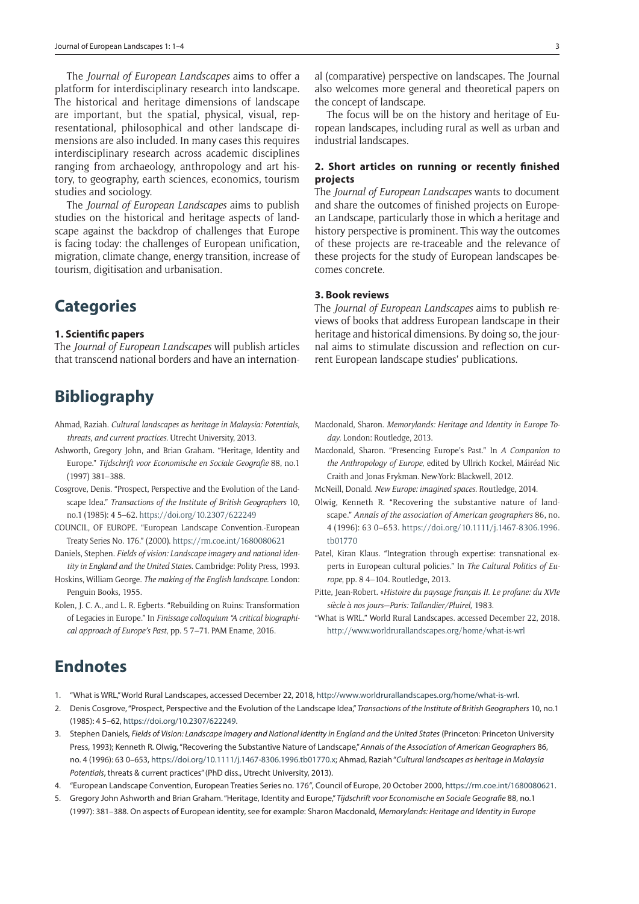The *Journal of European Landscapes* aims to offer a platform for interdisciplinary research into landscape. The historical and heritage dimensions of landscape are important, but the spatial, physical, visual, representational, philosophical and other landscape dimensions are also included. In many cases this requires interdisciplinary research across academic disciplines ranging from archaeology, anthropology and art history, to geography, earth sciences, economics, tourism studies and sociology.

The *Journal of European Landscapes* aims to publish studies on the historical and heritage aspects of landscape against the backdrop of challenges that Europe is facing today: the challenges of European unification, migration, climate change, energy transition, increase of tourism, digitisation and urbanisation.

# **Categories**

#### **1. Scientific papers**

The *Journal of European Landscapes* will publish articles that transcend national borders and have an internation-

# **Bibliography**

- Ahmad, Raziah. *Cultural landscapes as heritage in Malaysia: Potentials, threats, and current practices*. Utrecht University, 2013.
- Ashworth, Gregory John, and Brian Graham. "Heritage, Identity and Europe." *Tijdschrift voor Economische en Sociale Geografie* 88, no.1 (1997) 381–388.
- Cosgrove, Denis. "Prospect, Perspective and the Evolution of the Landscape Idea." *Transactions of the Institute of British Geographers* 10, no.1 (1985): 4 5–62. <https://doi.org/10.2307/622249>
- COUNCIL, OF EUROPE. "European Landscape Convention.-European Treaty Series No. 176." (2000). <https://rm.coe.int/1680080621>
- Daniels, Stephen. *Fields of vision: Landscape imagery and national identity in England and the United States*. Cambridge: Polity Press, 1993.
- Hoskins, William George. *The making of the English landscape*. London: Penguin Books, 1955.
- Kolen, J. C. A., and L. R. Egberts. "Rebuilding on Ruins: Transformation of Legacies in Europe." In *Finissage colloquium "A critical biographical approach of Europe's Past*, pp. 5 7–71. PAM Ename, 2016.

The focus will be on the history and heritage of European landscapes, including rural as well as urban and industrial landscapes.

#### **2. Short articles on running or recently finished projects**

The *Journal of European Landscapes* wants to document and share the outcomes of finished projects on European Landscape, particularly those in which a heritage and history perspective is prominent. This way the outcomes of these projects are re-traceable and the relevance of these projects for the study of European landscapes becomes concrete.

#### **3. Book reviews**

The *Journal of European Landscapes* aims to publish reviews of books that address European landscape in their heritage and historical dimensions. By doing so, the journal aims to stimulate discussion and reflection on current European landscape studies' publications.

- Macdonald, Sharon. *Memorylands: Heritage and Identity in Europe Today*. London: Routledge, 2013.
- Macdonald, Sharon. "Presencing Europe's Past." In *A Companion to the Anthropology of Europe*, edited by Ullrich Kockel, Máiréad Nic Craith and Jonas Frykman. New-York: Blackwell, 2012.
- McNeill, Donald. *New Europe: imagined spaces*. Routledge, 2014.
- Olwig, Kenneth R. "Recovering the substantive nature of landscape." *Annals of the association of American geographers* 86, no. 4 (1996): 63 0–653. [https://doi.org/10.1111/j.1467-8306.1996.](https://doi.org/10.1111/j.1467-8306.1996.tb01770) [tb01770](https://doi.org/10.1111/j.1467-8306.1996.tb01770)
- Patel, Kiran Klaus. "Integration through expertise: transnational experts in European cultural policies." In *The Cultural Politics of Europe*, pp. 8 4–104. Routledge, 2013.
- Pitte, Jean-Robert. «*Histoire du paysage français II. Le profane: du XVIe siècle à nos jours—Paris: Tallandier/Pluirel,* 1983.
- "What is WRL." World Rural Landscapes. accessed December 22, 2018. <http://www.worldrurallandscapes.org/home/what-is-wrl>

## **Endnotes**

- 1. "What is WRL," World Rural Landscapes, accessed December 22, 2018,<http://www.worldrurallandscapes.org/home/what-is-wrl>.
- 2. Denis Cosgrove, "Prospect, Perspective and the Evolution of the Landscape Idea," *Transactions of the Institute of British Geographers* 10, no.1 (1985): 4 5–62, [https://doi.org/10.2307/622249.](https://doi.org/10.2307/622249)
- 3. Stephen Daniels, *Fields of Vision: Landscape Imagery and National Identity in England and the United States* (Princeton: Princeton University Press, 1993); Kenneth R. Olwig, "Recovering the Substantive Nature of Landscape," *Annals of the Association of American Geographers* 86, no. 4 (1996): 63 0–653, [https://doi.org/10.1111/j.1467-8306.1996.tb01770.x;](https://doi.org/10.1111/j.1467-8306.1996.tb01770.x) Ahmad, Raziah "*Cultural landscapes as heritage in Malaysia Potentials*, threats & current practices" (PhD diss., Utrecht University, 2013).
- 4. "European Landscape Convention, European Treaties Series no. 176*"*, Council of Europe, 20 October 2000, [https://rm.coe.int/1680080621.](https://rm.coe.int/1680080621)
- 5. Gregory John Ashworth and Brian Graham. "Heritage, Identity and Europe," *Tijdschrift voor Economische en Sociale Geografie* 88, no.1 (1997): 381–388. On aspects of European identity, see for example: Sharon Macdonald, *Memorylands: Heritage and Identity in Europe*